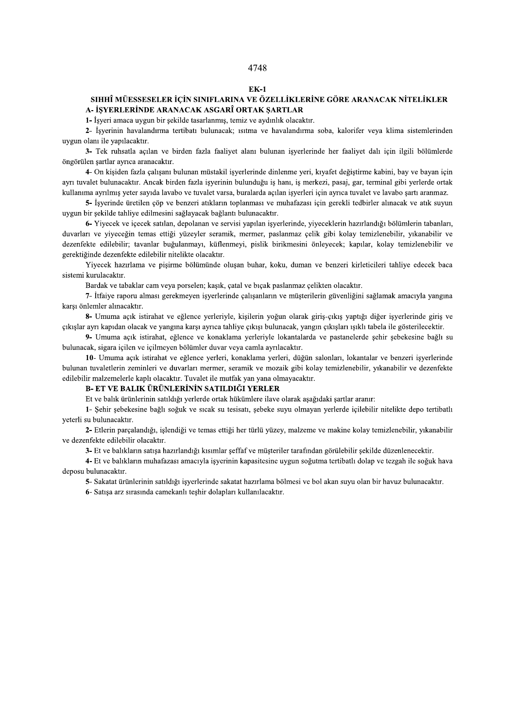### $EK-1$

# SIHHÎ MÜESSESELER İÇİN SINIFLARINA VE ÖZELLİKLERİNE GÖRE ARANACAK NİTELİKLER A- İŞYERLERİNDE ARANACAK ASGARÎ ORTAK ŞARTLAR

1- İşyeri amaca uygun bir şekilde tasarlanmış, temiz ve aydınlık olacaktır.

2- İşyerinin havalandırma tertibatı bulunacak; ısıtma ve havalandırma soba, kalorifer veya klima sistemlerinden uygun olanı ile yapılacaktır.

3- Tek ruhsatla açılan ve birden fazla faaliyet alanı bulunan işyerlerinde her faaliyet dalı için ilgili bölümlerde öngörülen şartlar ayrıca aranacaktır.

4- On kişiden fazla çalışanı bulunan müstakil işyerlerinde dinlenme yeri, kıyafet değiştirme kabini, bay ve bayan için ayrı tuvalet bulunacaktır. Ancak birden fazla işyerinin bulunduğu iş hanı, iş merkezi, pasaj, gar, terminal gibi yerlerde ortak kullanıma ayrılmış yeter sayıda lavabo ve tuvalet varsa, buralarda açılan işyerleri için ayrıca tuvalet ve lavabo şartı aranmaz.

5- İşyerinde üretilen çöp ve benzeri atıkların toplanması ve muhafazası için gerekli tedbirler alınacak ve atık suyun uygun bir şekilde tahliye edilmesini sağlayacak bağlantı bulunacaktır.

6- Yiyecek ve içecek satılan, depolanan ve servisi yapılan işyerlerinde, yiyeceklerin hazırlandığı bölümlerin tabanları, duvarları ve yiyeceğin temas ettiği yüzeyler seramik, mermer, paslanmaz çelik gibi kolay temizlenebilir, yıkanabilir ve dezenfekte edilebilir; tavanlar buğulanmayı, küflenmeyi, pislik birikmesini önleyecek; kapılar, kolay temizlenebilir ve gerektiğinde dezenfekte edilebilir nitelikte olacaktır.

Yiyecek hazırlama ve pişirme bölümünde oluşan buhar, koku, duman ve benzeri kirleticileri tahliye edecek baca sistemi kurulacaktır.

Bardak ve tabaklar cam veya porselen; kaşık, çatal ve bıçak paslanmaz çelikten olacaktır.

7- İtfaiye raporu alması gerekmeyen işyerlerinde çalışanların ve müşterilerin güvenliğini sağlamak amacıyla yangına karsı önlemler alınacaktır.

8- Umuma açık istirahat ve eğlence yerleriyle, kişilerin yoğun olarak giriş-çıkış yaptığı diğer işyerlerinde giriş ve çıkışlar ayrı kapıdan olacak ve yangına karşı ayrıca tahliye çıkışı bulunacak, yangın çıkışları ışıklı tabela ile gösterilecektir.

9- Umuma açık istirahat, eğlence ve konaklama yerleriyle lokantalarda ve pastanelerde şehir şebekesine bağlı su bulunacak, sigara içilen ve içilmeyen bölümler duyar yeva çamla ayrılacaktır.

10- Umuma açık istirahat ve eğlence yerleri, konaklama yerleri, düğün salonları, lokantalar ve benzeri işyerlerinde bulunan tuvaletlerin zeminleri ve duvarları mermer, seramik ve mozaik gibi kolay temizlenebilir, yıkanabilir ve dezenfekte edilebilir malzemelerle kaplı olacaktır. Tuvalet ile mutfak yan yana olmayacaktır.

## B- ET VE BALIK ÜRÜNLERİNİN SATILDIĞI YERLER

Et ve balık ürünlerinin satıldığı yerlerde ortak hükümlere ilave olarak aşağıdaki şartlar aranır:

1- Şehir şebekesine bağlı soğuk ve sıcak su tesisatı, şebeke suyu olmayan yerlerde içilebilir nitelikte depo tertibatlı veterli su bulunacaktır.

2- Etlerin parçalandığı, işlendiği ve temas ettiği her türlü yüzey, malzeme ve makine kolay temizlenebilir, yıkanabilir ve dezenfekte edilebilir olacaktır.

3- Et ve balıkların satışa hazırlandığı kısımlar seffaf ve müsteriler tarafından görülebilir sekilde düzenlenecektir.

4- Et ve balıkların muhafazası amacıyla isyerinin kapasitesine uygun soğutma tertibatlı dolap ve tezgah ile soğuk hava deposu bulunacaktır.

5- Sakatat ürünlerinin satıldığı işyerlerinde sakatat hazırlama bölmesi ve bol akan suyu olan bir havuz bulunacaktır.

6- Satışa arz sırasında camekanlı teşhir dolapları kullanılacaktır.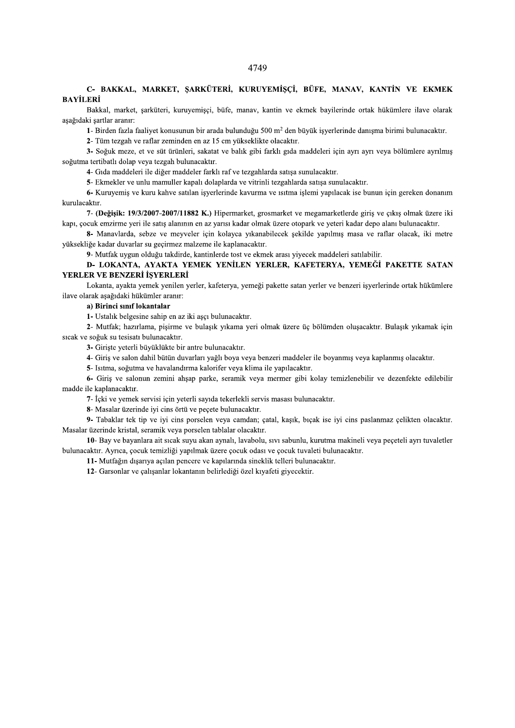# C- BAKKAL, MARKET, ŞARKÜTERİ, KURUYEMİŞÇİ, BÜFE, MANAV, KANTİN VE EKMEK **BAYİLERİ**

Bakkal, market, şarküteri, kuruyemişçi, büfe, manav, kantin ve ekmek bayilerinde ortak hükümlere ilave olarak asağıdaki sartlar aranır:

1- Birden fazla faaliyet konusunun bir arada bulunduğu 500 m<sup>2</sup> den büyük isyerlerinde danısma birimi bulunacaktır.

2- Tüm tezgah ve raflar zeminden en az 15 cm yükseklikte olacaktır.

3- Soğuk meze, et ve süt ürünleri, sakatat ve balık gibi farklı gıda maddeleri için ayrı ayrı veya bölümlere ayrılmış soğutma tertibatlı dolap veya tezgah bulunacaktır.

4- Gıda maddeleri ile diğer maddeler farklı raf ve tezgahlarda satışa sunulacaktır.

5- Ekmekler ve unlu mamuller kapalı dolaplarda ve vitrinli tezgahlarda satışa sunulacaktır.

6- Kuruyemis ve kuru kahve satılan isyerlerinde kavurma ve ısıtma islemi yapılacak ise bunun için gereken donanım kurulacaktır.

7- (Değişik: 19/3/2007-2007/11882 K.) Hipermarket, grosmarket ve megamarketlerde giriş ve çıkış olmak üzere iki kapı, çocuk emzirme yeri ile satış alanının en az yarısı kadar olmak üzere otopark ve yeteri kadar depo alanı bulunacaktır.

8- Manavlarda, sebze ve meyveler için kolayca yıkanabilecek şekilde yapılmış masa ve raflar olacak, iki metre yüksekliğe kadar duvarlar su geçirmez malzeme ile kaplanacaktır.

9- Mutfak uygun olduğu takdirde, kantinlerde tost ve ekmek arası yiyecek maddeleri satılabilir.

# D- LOKANTA, AYAKTA YEMEK YENİLEN YERLER, KAFETERYA, YEMEĞİ PAKETTE SATAN YERLER VE BENZERİ İŞYERLERİ

Lokanta, ayakta yemek yenilen yerler, kafeterya, yemeği pakette satan yerler ve benzeri işyerlerinde ortak hükümlere ilave olarak aşağıdaki hükümler aranır:

### a) Birinci sınıf lokantalar

1- Ustalık belgesine sahip en az iki aşçı bulunacaktır.

2- Mutfak; hazırlama, pişirme ve bulaşık yıkama yeri olmak üzere üç bölümden oluşacaktır. Bulaşık yıkamak için sıcak ve soğuk su tesisatı bulunacaktır.

3- Giriste veterli büyüklükte bir antre bulunacaktır.

4- Giriş ve salon dahil bütün duvarları yağlı boya veya benzeri maddeler ile boyanmış veya kaplanmış olacaktır.

5- Isitma, soğutma ve havalandırma kalorifer veya klima ile yapılacaktır.

6- Giriş ve salonun zemini ahşap parke, seramik veya mermer gibi kolay temizlenebilir ve dezenfekte edilebilir madde ile kaplanacaktır.

7- İçki ve yemek servisi için yeterli sayıda tekerlekli servis masası bulunacaktır.

8- Masalar üzerinde iyi cins örtü ve peçete bulunacaktır.

9- Tabaklar tek tip ve iyi cins porselen veya camdan; çatal, kaşık, bıçak ise iyi cins paslanmaz çelikten olacaktır. Masalar üzerinde kristal, seramik veya porselen tablalar olacaktır.

10- Bay ve bayanlara ait sıcak suyu akan aynalı, lavabolu, sıvı sabunlu, kurutma makineli veya peçeteli ayrı tuvaletler bulunacaktır. Ayrıca, çocuk temizliği yapılmak üzere çocuk odası ve çocuk tuvaleti bulunacaktır.

11- Mutfağın dışarıya açılan pencere ve kapılarında sineklik telleri bulunacaktır.

12- Garsonlar ve çalışanlar lokantanın belirlediği özel kıyafeti giyecektir.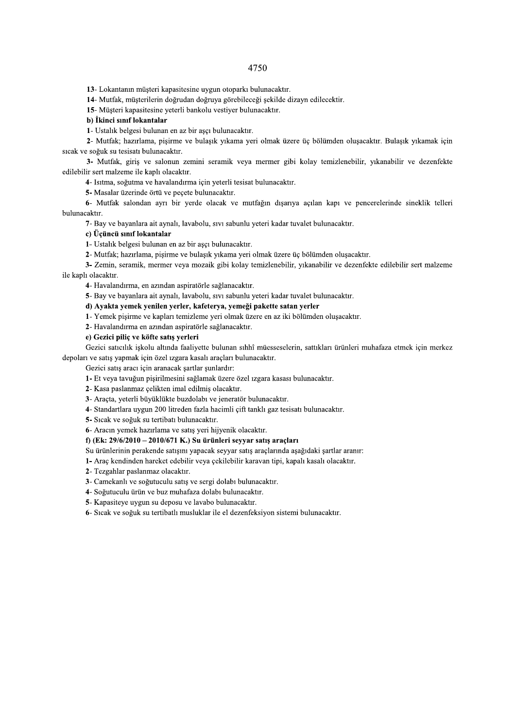13- Lokantanın müşteri kapasitesine uygun otoparkı bulunacaktır.

14- Mutfak, müşterilerin doğrudan doğruya görebileceği şekilde dizayn edilecektir.

15- Müşteri kapasitesine yeterli bankolu vestiyer bulunacaktır.

b) İkinci sınıf lokantalar

1- Ustalık belgesi bulunan en az bir ascı bulunacaktır.

2- Mutfak; hazırlama, pisirme ve bulasık yıkama yeri olmak üzere üç bölümden olusacaktır. Bulasık yıkamak için sıcak ve soğuk su tesisatı bulunacaktır.

3- Mutfak, giriş ve salonun zemini seramik veya mermer gibi kolay temizlenebilir, yıkanabilir ve dezenfekte edilebilir sert malzeme ile kaplı olacaktır.

4- Isıtma, soğutma ve havalandırma için yeterli tesisat bulunacaktır.

5- Masalar üzerinde örtü ve peçete bulunacaktır.

6- Mutfak salondan ayrı bir yerde olacak ve mutfağın dışarıya açılan kapı ve pencerelerinde sineklik telleri bulunacaktır.

7- Bay ve bayanlara ait aynalı, lavabolu, sıvı sabunlu yeteri kadar tuvalet bulunacaktır.

# c) Üçüncü sınıf lokantalar

1- Ustalık belgesi bulunan en az bir aşçı bulunacaktır.

2- Mutfak; hazırlama, pişirme ve bulaşık yıkama yeri olmak üzere üç bölümden oluşacaktır.

3- Zemin, seramik, mermer veya mozaik gibi kolay temizlenebilir, yıkanabilir ve dezenfekte edilebilir sert malzeme ile kaplı olacaktır.

4- Havalandırma, en azından aspiratörle sağlanacaktır.

5- Bay ve bayanlara ait aynalı, lavabolu, sıvı sabunlu yeteri kadar tuvalet bulunacaktır.

### d) Ayakta yemek yenilen yerler, kafeterya, yemeği pakette satan yerler

1- Yemek pişirme ve kapları temizleme yeri olmak üzere en az iki bölümden oluşacaktır.

2- Havalandırma en azından aspiratörle sağlanacaktır.

## e) Gezici piliç ve köfte satış yerleri

Gezici satıcılık iskolu altında faalivette bulunan sıhhî müesseselerin, sattıkları ürünleri muhafaza etmek için merkez depoları ve satış yapmak için özel ızgara kasalı araçları bulunacaktır.

Gezici satış aracı için aranacak şartlar şunlardır:

1- Et veya tavuğun pişirilmesini sağlamak üzere özel ızgara kasası bulunacaktır.

2- Kasa paslanmaz celikten imal edilmis olacaktır.

3- Araçta, yeterli büyüklükte buzdolabı ve jeneratör bulunacaktır.

4- Standartlara uygun 200 litreden fazla hacimli çift tanklı gaz tesisatı bulunacaktır.

5- Sıcak ve soğuk su tertibatı bulunacaktır.

6- Aracın yemek hazırlama ve satış yeri hijyenik olacaktır.

# f) (Ek: 29/6/2010 - 2010/671 K.) Su ürünleri seyyar satış araçları

Su ürünlerinin perakende satısını yapacak seyyar satıs araclarında asağıdaki sartlar aranır:

1- Araç kendinden hareket edebilir veya çekilebilir karavan tipi, kapalı kasalı olacaktır.

- 2- Tezgahlar paslanmaz olacaktır.
- 3- Camekanlı ve soğutuculu satış ve sergi dolabı bulunacaktır.
- 4- Soğutuculu ürün ve buz muhafaza dolabı bulunacaktır.
- 5- Kapasiteye uygun su deposu ve lavabo bulunacaktır.
- 6- Sıcak ve soğuk su tertibatlı musluklar ile el dezenfeksiyon sistemi bulunacaktır.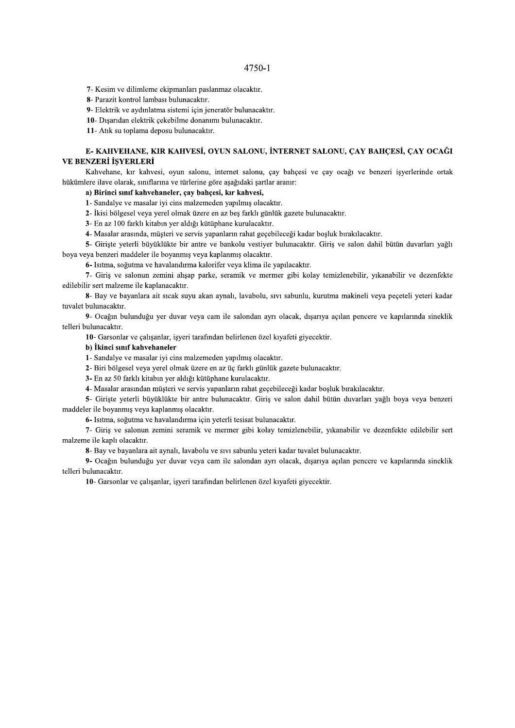7- Kesim ve dilimleme ekipmanları paslanmaz olacaktır.

8- Parazit kontrol lambası bulunacaktır.

9- Elektrik ve aydınlatma sistemi için jeneratör bulunacaktır.

10- Dışarıdan elektrik çekebilme donanımı bulunacaktır.

11- Atık su toplama deposu bulunacaktır.

# E- KAHVEHANE, KIR KAHVESİ, OYUN SALONU, İNTERNET SALONU, CAY BAHCESİ, CAY OCAĞI VE BENZERİ İSYERLERİ

Kahvehane, kır kahvesi, oyun salonu, internet salonu, çay bahçesi ve çay ocağı ve benzeri işyerlerinde ortak hükümlere ilave olarak, sınıflarına ve türlerine göre aşağıdaki şartlar aranır:

a) Birinci sınıf kahvehaneler, çay bahçesi, kır kahvesi,

1- Sandalye ve masalar iyi cins malzemeden yapılmış olacaktır.

2- İkisi bölgesel veya yerel olmak üzere en az beş farklı günlük gazete bulunacaktır.

3- En az 100 farklı kitabın yer aldığı kütüphane kurulacaktır.

4- Masalar arasında, müşteri ve servis yapanların rahat geçebileceği kadar boşluk bırakılacaktır.

5- Girişte yeterli büyüklükte bir antre ve bankolu vestiyer bulunacaktır. Giriş ve salon dahil bütün duvarları yağlı boya veya benzeri maddeler ile boyanmış veya kaplanmış olacaktır.

6- Isitma, soğutma ve havalandırma kalorifer veya klima ile yapılacaktır.

7- Giriş ve salonun zemini ahşap parke, seramik ve mermer gibi kolay temizlenebilir, yıkanabilir ve dezenfekte edilebilir sert malzeme ile kaplanacaktır.

8- Bay ve bayanlara ait sıcak suyu akan aynalı, lavabolu, sıvı sabunlu, kurutma makineli veya peçeteli yeteri kadar tuvalet bulunacaktır.

9- Ocağın bulunduğu yer duvar veya cam ile salondan ayrı olacak, dışarıya açılan pencere ve kapılarında sineklik telleri bulunacaktır.

10- Garsonlar ve çalışanlar, işyeri tarafından belirlenen özel kıyafeti giyecektir.

b) İkinci sınıf kahvehaneler

1- Sandalye ve masalar iyi cins malzemeden yapılmış olacaktır.

2- Biri bölgesel veya yerel olmak üzere en az üç farklı günlük gazete bulunacaktır.

3- En az 50 farklı kitabın yer aldığı kütüphane kurulacaktır.

4- Masalar arasından müşteri ve servis yapanların rahat geçebileceği kadar boşluk bırakılacaktır.

5- Girişte yeterli büyüklükte bir antre bulunacaktır. Giriş ve salon dahil bütün duvarları yağlı boya veya benzeri maddeler ile boyanmış veya kaplanmış olacaktır.

6- Isitma, soğutma ve havalandırma için yeterli tesisat bulunacaktır.

7- Giriş ve salonun zemini seramik ve mermer gibi kolay temizlenebilir, yıkanabilir ve dezenfekte edilebilir sert malzeme ile kaplı olacaktır.

8- Bay ve bayanlara ait aynalı, lavabolu ve sıvı sabunlu yeteri kadar tuvalet bulunacaktır.

9- Ocağın bulunduğu yer duvar veya cam ile salondan ayrı olacak, dışarıya açılan pencere ve kapılarında sineklik telleri bulunacaktır.

10- Garsonlar ve çalışanlar, işyeri tarafından belirlenen özel kıyafeti giyecektir.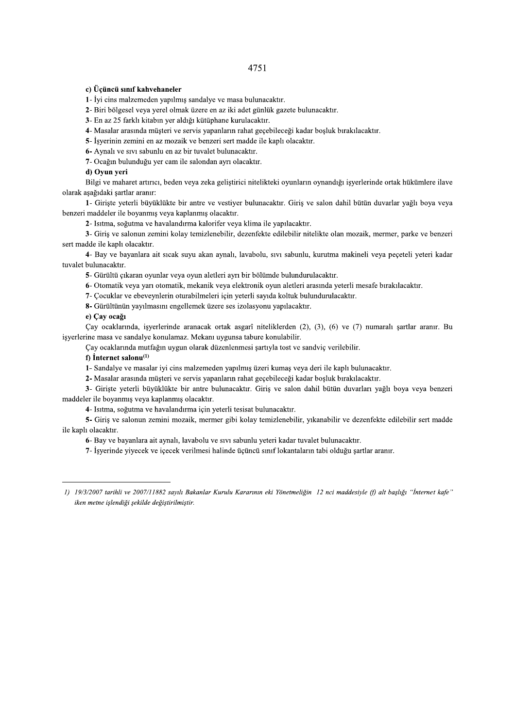# c) Üçüncü sınıf kahvehaneler

1- İyi cins malzemeden yapılmış sandalye ve masa bulunacaktır.

2- Biri bölgesel veya yerel olmak üzere en az iki adet günlük gazete bulunacaktır.

3- En az 25 farklı kitabın yer aldığı kütüphane kurulacaktır.

4- Masalar arasında müşteri ve servis yapanların rahat geçebileceği kadar boşluk bırakılacaktır.

5- İsverinin zemini en az mozaik ve benzeri sert madde ile kaplı olacaktır.

6- Aynalı ve sıvı sabunlu en az bir tuvalet bulunacaktır.

7- Ocağın bulunduğu yer cam ile salondan ayrı olacaktır.

### d) Oyun yeri

Bilgi ve maharet artırıcı, beden veya zeka geliştirici nitelikteki oyunların oynandığı işyerlerinde ortak hükümlere ilave olarak aşağıdaki şartlar aranır:

1- Girişte yeterli büyüklükte bir antre ve vestiyer bulunacaktır. Giriş ve salon dahil bütün duvarlar yağlı boya veya benzeri maddeler ile boyanmış veya kaplanmış olacaktır.

2- Isitma, soğutma ve havalandırma kalorifer veya klima ile yapılacaktır.

3- Giriş ve salonun zemini kolay temizlenebilir, dezenfekte edilebilir nitelikte olan mozaik, mermer, parke ve benzeri sert madde ile kaplı olacaktır.

4- Bay ve bayanlara ait sıcak suyu akan aynalı, lavabolu, sıvı sabunlu, kurutma makineli veya peçeteli yeteri kadar tuvalet bulunacaktır.

5- Gürültü çıkaran oyunlar veya oyun aletleri ayrı bir bölümde bulundurulacaktır.

6- Otomatik veya yarı otomatik, mekanik veya elektronik oyun aletleri arasında yeterli mesafe bırakılacaktır.

7- Çocuklar ve ebeveynlerin oturabilmeleri için yeterli sayıda koltuk bulundurulacaktır.

8- Gürültünün yayılmasını engellemek üzere ses izolasyonu yapılacaktır.

# e) Çay ocağı

Çay ocaklarında, işyerlerinde aranacak ortak asgarî niteliklerden (2), (3), (6) ve (7) numaralı şartlar aranır. Bu isyerlerine masa ve sandalye konulamaz. Mekanı uygunsa tabure konulabilir.

Cav ocaklarında mutfağın uygun olarak düzenlenmesi şartıyla tost ve sandviç verilebilir.

## $f$ ) Internet salonu<sup>(1)</sup>

1- Sandalye ve masalar iyi cins malzemeden yapılmış üzeri kumaş veya deri ile kaplı bulunacaktır.

2- Masalar arasında müşteri ve servis yapanların rahat geçebileceği kadar boşluk bırakılacaktır.

3- Girişte yeterli büyüklükte bir antre bulunacaktır. Giriş ve salon dahil bütün duvarları yağlı boya veya benzeri maddeler ile boyanmış veya kaplanmış olacaktır.

4- Isıtma, soğutma ve havalandırma için yeterli tesisat bulunacaktır.

5- Giriş ve salonun zemini mozaik, mermer gibi kolay temizlenebilir, yıkanabilir ve dezenfekte edilebilir sert madde ile kaplı olacaktır.

6- Bay ve bayanlara ait aynalı, lavabolu ve sıvı sabunlu yeteri kadar tuvalet bulunacaktır.

7- İsverinde yiyecek ve içecek verilmesi halinde üçüncü sınıf lokantaların tabi olduğu sartlar aranır.

<sup>1) 19/3/2007</sup> tarihli ve 2007/11882 sayılı Bakanlar Kurulu Kararının eki Yönetmeliğin 12 nci maddesiyle (f) alt başlığı "İnternet kafe" iken metne işlendiği şekilde değiştirilmiştir.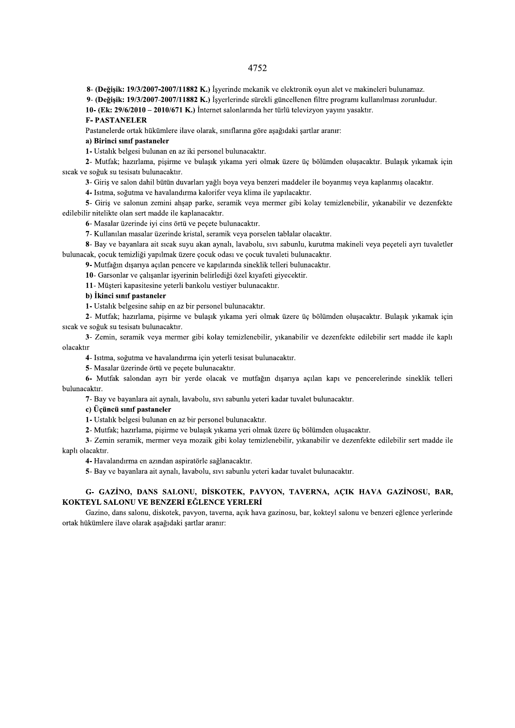8- (Değişik: 19/3/2007-2007/11882 K.) İşyerinde mekanik ve elektronik oyun alet ve makineleri bulunamaz.

9- (Değişik: 19/3/2007-2007/11882 K.) İşyerlerinde sürekli güncellenen filtre programı kullanılması zorunludur.

10- (Ek: 29/6/2010 - 2010/671 K.) İnternet salonlarında her türlü televizyon yayını yasaktır.

**F-PASTANELER** 

Pastanelerde ortak hükümlere ilave olarak, sınıflarına göre aşağıdaki şartlar aranır:

a) Birinci sınıf pastaneler

1- Ustalık belgesi bulunan en az iki personel bulunacaktır.

2- Mutfak; hazırlama, pişirme ve bulaşık yıkama yeri olmak üzere üç bölümden oluşacaktır. Bulaşık yıkamak için sıcak ve soğuk su tesisatı bulunacaktır.

3- Giriş ve salon dahil bütün duvarları yağlı boya veya benzeri maddeler ile boyanmış veya kaplanmış olacaktır.

4- Isıtma, soğutma ve havalandırma kalorifer veya klima ile yapılacaktır.

5- Giriş ve salonun zemini ahşap parke, seramik veya mermer gibi kolay temizlenebilir, yıkanabilir ve dezenfekte edilebilir nitelikte olan sert madde ile kaplanacaktır.

6- Masalar üzerinde iyi cins örtü ve peçete bulunacaktır.

7- Kullanılan masalar üzerinde kristal, seramik veya porselen tablalar olacaktır.

8- Bay ve bayanlara ait sıcak suyu akan aynalı, lavabolu, sıvı sabunlu, kurutma makineli veya peçeteli ayrı tuvaletler bulunacak, çocuk temizliği yapılmak üzere çocuk odası ve çocuk tuvaleti bulunacaktır.

9- Mutfağın dışarıya açılan pencere ve kapılarında sineklik telleri bulunacaktır.

10- Garsonlar ve çalışanlar işyerinin belirlediği özel kıyafeti giyecektir.

11- Müşteri kapasitesine yeterli bankolu vestiyer bulunacaktır.

#### b) İkinci sınıf pastaneler

1- Ustalık belgesine sahip en az bir personel bulunacaktır.

2- Mutfak; hazırlama, pişirme ve bulaşık yıkama yeri olmak üzere üç bölümden oluşacaktır. Bulaşık yıkamak için sıcak ve soğuk su tesisatı bulunacaktır.

3- Zemin, seramik veya mermer gibi kolay temizlenebilir, yıkanabilir ve dezenfekte edilebilir sert madde ile kaplı olacaktır

4- Isıtma, soğutma ve havalandırma için yeterli tesisat bulunacaktır.

5- Masalar üzerinde örtü ve peçete bulunacaktır.

6- Mutfak salondan ayrı bir yerde olacak ve mutfağın dışarıya açılan kapı ve pencerelerinde sineklik telleri bulunacaktır.

7- Bay ve bayanlara ait aynalı, lavabolu, sıvı sabunlu yeteri kadar tuvalet bulunacaktır.

c) Üçüncü sınıf pastaneler

1- Ustalık belgesi bulunan en az bir personel bulunacaktır.

2- Mutfak; hazırlama, pişirme ve bulaşık yıkama yeri olmak üzere üç bölümden oluşacaktır.

3- Zemin seramik, mermer veya mozaik gibi kolay temizlenebilir, yıkanabilir ve dezenfekte edilebilir sert madde ile kaplı olacaktır.

4- Havalandırma en azından aspiratörle sağlanacaktır.

5- Bay ve bayanlara ait aynalı, lavabolu, sıvı sabunlu yeteri kadar tuvalet bulunacaktır.

# G- GAZINO, DANS SALONU, DISKOTEK, PAVYON, TAVERNA, AÇIK HAVA GAZINOSU, BAR, KOKTEYL SALONU VE BENZERİ EĞLENCE YERLERİ

Gazino, dans salonu, diskotek, pavyon, taverna, açık hava gazinosu, bar, kokteyl salonu ve benzeri eğlence yerlerinde ortak hükümlere ilave olarak aşağıdaki şartlar aranır: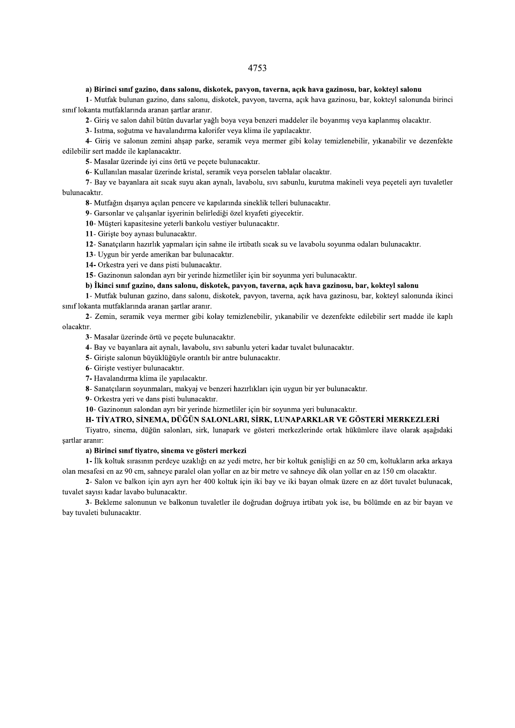# 4753  $\mathfrak{S}$

## a) Birinci sinif gazino, dans salonu, diskotek, pavyon, taverna, açık hava gazinosu, bar,

2- Giriş ve salon dahil bütün duvarlar yağlı boya veya benzeri maddeler ile boyanmış veya kaplanmış olacaktır.

3- Isitma, soğutma ve havalandırma kalorifer veva klima ile yapılacaktır.

20) Birinci sınıf gazino, dans salonu, diskotek, pavyon, taverna, açık hava gazinosu, bar, kokteyl salonu 1- Mutfak bulunan gazino, dans salonu, diskotek, pavyon, taverna, açık hava gazinosu, bar, kokteyl salonunda birinci 4- Giriş ve salonun zemini ahşap parke, seramik veya mermer gibi kolay temizlenebilir, yıkanabilir ve dezenfekte edilebilir sert madde ile kaplanacaktır.

5- Masalar üzerinde iyi cins örtü ve peçete bulunacaktır.

6- Kullanılan masalar üzerinde kristal, seramik veya porselen tablalar olacaktır.

7- Bay ve bayanlara ait sıcak suyu akan aynalı, lavabolu, sıvı sabunlu, kurutma makineli veya peçeteli ayrı tuvaletler bulunacaktır.

8- Mutfağın dışarıya açılan pencere ve kapılarında sineklik telleri bulunacaktır.

9- Garsonlar ve çalışanlar işyerinin belirlediği özel kıyafeti giyecektir.

10- Müsteri kapasitesine yeterli bankolu vestiyer bulunacaktır.

11- Girişte boy aynası bulunacaktır.<br>12- Sanatçıların hazırlık yapmaları için sahne ile irtibatlı sıcak su ve lavabolu soyunma odaları bulunacaktır.

### b) İkinci sınıf gazino, dans salonu, diskotek, pavyon, taverna, açık hava gazinosu, bar, kokteyl salonu

7- Bay ve bayanlara ait sıcak suyu akan aynalı, lavabolu, sıvı sabunlu, kurutma makineli veya peçeteli ayrı tu<br>
8- Mutfağın dışarıya açılan pencere ve kapılarında sineklik telleri bulunacaktır.<br>
9- Garsonlar ve çalışanlar

10- Müşteri kapasitesine yeterli bankolu vestiyer bulunacaktır.<br>
11- Girişte boy ayınası bulunacaktır.<br>
12- Sanatçıların hazırlık yapmaları için sahne ile irtibatlı sıcak su ve lavabolu soyunma odaları bulunacaktır.<br>
12- S 2- Zemin, seramik veya mermer gibi kolay temizlenebilir, yıkanabilir ve dezenfekte edilebilir sert madde ile kaplı olacaktır.<br>3- Masalar üzerinde örtü ve peçete bulunacaktır.

4- Bay ve bayanlara ait aynalı, lavabolu, sıvı sabunlu yeteri kadar tuvalet bulunacaktır.

5- Girişte salonun büyüklüğüyle orantılı bir antre bulunacaktır.

6- Giriște vestiyer bulunacaktır.

7- Havalandırma klima ile yapılacaktır.

8- Sanatçıların soyunmaları, makyaj ve benzeri hazırlıkları için uygun bir yer bulunacaktır.

9- Orkestra yeri ve dans pisti bulunacaktır.

10- Gazinonun salondan ayrı bir yerinde hizmetliler için bir soyunma yeri bulunacaktır.

# H-TİYATRO, SİNEMA, DÜĞÜN SALONLARI, SİRK, LUNAPARKLAR VE GÖSTERİ MERKEZLERİ

Tiyatro, sinema, düğün salonları, sirk, lunapark ve gösteri merkezlerinde ortak hükümlere ilave olarak aşağıdaki sartlar aranır: 9 - Orkestra yeri ve dans pisti bulunacaktır.<br>
10 - Gazinonun salondan ayın bir yerinde hizmetliler için bir soyunma yeri bulunacaktır.<br>
11 - IIYATRO, SİNEMA, DÜĞÜN SALONLARI, SİRK, LUNAPARKLAR VE GÖSTERİ MERKEZLERİ<br>
Tiyat

# a) Birinci sinif tiyatro, sinema ve gösteri merkezi

olan mesafesi en az 90 cm, sahneye paralel olan yollar en az bir metre ve sahneye dik olan yollar en az 150 cm olacaktır.

2- Salon ve balkon için ayrı ayrı her 400 koltuk için iki bay ve iki bayan olmak üzere en az dört tuvalet bulunacak, tuvalet sayısı kadar lavabo bulunacaktır.

3- Bekleme salonunun ve balkonun tuvaletler ile doğrudan doğruya irtibatı yok ise, bu bölümde en az bir bayan ve bay tuvaleti bulunacaktır.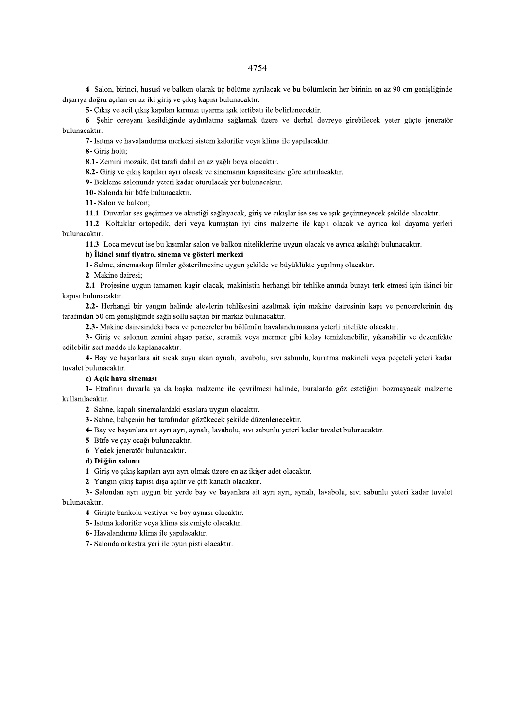4- Salon, birinci, hususî ve balkon olarak üç bölüme ayrılacak ve bu bölümlerin her birinin en az 90 cm genişliğinde dışarıya doğru açılan en az iki giriş ve çıkış kapısı bulunacaktır.

5- Çıkış ve acil çıkış kapıları kırmızı uyarma ışık tertibatı ile belirlenecektir.

6- Şehir cereyanı kesildiğinde aydınlatma sağlamak üzere ve derhal devreye girebilecek yeter güçte jeneratör bulunacaktır.

7- Isitma ve havalandırma merkezi sistem kalorifer veya klima ile yapılacaktır.

8- Giris holü:

8.1- Zemini mozaik, üst tarafı dahil en az yağlı boya olacaktır.

8.2- Giriş ve çıkış kapıları ayrı olacak ve sinemanın kapasitesine göre artırılacaktır.

9- Bekleme salonunda yeteri kadar oturulacak yer bulunacaktır.

10- Salonda bir büfe bulunacaktır.

11- Salon ve balkon:

11.1- Duvarlar ses geçirmez ve akustiği sağlayacak, giriş ve çıkışlar ise ses ve ışık geçirmeyecek şekilde olacaktır.

11.2- Koltuklar ortopedik, deri veya kumaştan iyi cins malzeme ile kaplı olacak ve ayrıca kol dayama yerleri bulunacaktır.

11.3- Loca mevcut ise bu kısımlar salon ve balkon niteliklerine uygun olacak ve ayrıca askılığı bulunacaktır.

b) İkinci sınıf tiyatro, sinema ve gösteri merkezi

1- Sahne, sinemaskop filmler gösterilmesine uygun şekilde ve büyüklükte yapılmış olacaktır.

2- Makine dairesi:

2.1- Projesine uygun tamamen kagir olacak, makinistin herhangi bir tehlike anında burayı terk etmesi için ikinci bir kapısı bulunacaktır.

2.2- Herhangi bir yangın halinde alevlerin tehlikesini azaltmak için makine dairesinin kapı ve pencerelerinin dış tarafından 50 cm genişliğinde sağlı sollu saçtan bir markiz bulunacaktır.

2.3- Makine dairesindeki baca ve pencereler bu bölümün havalandırmasına yeterli nitelikte olacaktır.

3- Giris ve salonun zemini ahsap parke, seramik veya mermer gibi kolay temizlenebilir, yıkanabilir ve dezenfekte edilebilir sert madde ile kaplanacaktır.

4- Bay ve bayanlara ait sıcak suyu akan aynalı, lavabolu, sıvı sabunlu, kurutma makineli veya peçeteli yeteri kadar tuvalet bulunacaktır.

### c) Acık hava sineması

1- Etrafinın duvarla ya da başka malzeme ile çevrilmesi halinde, buralarda göz estetiğini bozmayacak malzeme kullanılacaktır.

2- Sahne, kapalı sinemalardaki esaslara uygun olacaktır.

- 3- Sahne, bahçenin her tarafından gözükecek şekilde düzenlenecektir.
- 4- Bay ve bayanlara ait ayrı ayrı, aynalı, lavabolu, sıvı sabunlu yeteri kadar tuvalet bulunacaktır.

5- Büfe ve çay ocağı bulunacaktır.

6- Yedek jeneratör bulunacaktır.

# d) Düğün salonu

- 1- Giris ve çıkış kapıları ayrı ayrı olmak üzere en az ikiser adet olacaktır.
- 2- Yangın çıkış kapısı dışa açılır ve çift kanatlı olacaktır.

3- Salondan ayrı uygun bir yerde bay ve bayanlara ait ayrı ayrı, aynalı, lavabolu, sıvı sabunlu yeteri kadar tuvalet bulunacaktır.

4- Giriște bankolu vestiyer ve boy aynası olacaktır.

5- Isıtma kalorifer veya klima sistemiyle olacaktır.

6- Havalandırma klima ile yapılacaktır.

7- Salonda orkestra yeri ile oyun pisti olacaktır.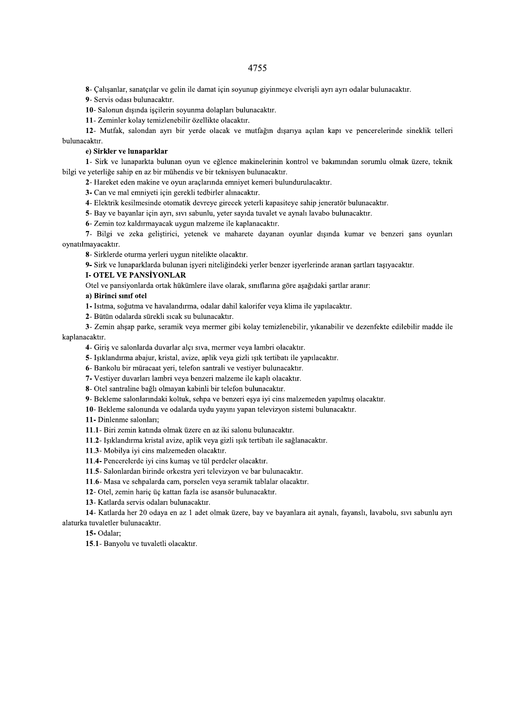8- Çalışanlar, sanatçılar ve gelin ile damat için soyunup giyinmeye elverişli ayrı ayrı odalar bulunacaktır.

9- Servis odası bulunacaktır.

10- Salonun dışında işçilerin soyunma dolapları bulunacaktır.

11- Zeminler kolay temizlenebilir özellikte olacaktır.

12- Mutfak, salondan ayrı bir yerde olacak ve mutfağın dışarıya açılan kapı ve pencerelerinde sineklik telleri bulunacaktır.

## e) Sirkler ve lunaparklar

1- Sirk ve lunaparkta bulunan oyun ve eğlence makinelerinin kontrol ve bakımından sorumlu olmak üzere, teknik bilgi ve yeterliğe sahip en az bir mühendis ve bir teknisyen bulunacaktır.

2- Hareket eden makine ve oyun araçlarında emniyet kemeri bulundurulacaktır.

3- Can ve mal emniyeti için gerekli tedbirler alınacaktır.

4- Elektrik kesilmesinde otomatik devreye girecek yeterli kapasiteye sahip jeneratör bulunacaktır.

5- Bay ve bayanlar için ayrı, sıvı sabunlu, yeter sayıda tuvalet ve aynalı lavabo bulunacaktır.

6- Zemin toz kaldırmayacak uygun malzeme ile kaplanacaktır.

7- Bilgi ve zeka geliştirici, yetenek ve maharete dayanan oyunlar dışında kumar ve benzeri şans oyunları ovnatılmavacaktır.

8- Sirklerde oturma yerleri uygun nitelikte olacaktır.

9- Sirk ve lunaparklarda bulunan isyeri niteliğindeki yerler benzer isyerlerinde aranan sartları taşıyacaktır.

# **I-OTEL VE PANSIYONLAR**

Otel ve pansiyonlarda ortak hükümlere ilave olarak, sınıflarına göre aşağıdaki şartlar aranır:

## a) Birinci sınıf otel

1- Isitma, soğutma ve havalandırma, odalar dahil kalorifer veya klima ile yapılacaktır.

2- Bütün odalarda sürekli sıcak su bulunacaktır.

3- Zemin ahşap parke, seramik veya mermer gibi kolay temizlenebilir, yıkanabilir ve dezenfekte edilebilir madde ile kaplanacaktır.

4- Giris ve salonlarda duvarlar alcı sıva, mermer veva lambri olacaktır.

5- Işıklandırma abajur, kristal, avize, aplik veya gizli ışık tertibatı ile yapılacaktır.

6- Bankolu bir müracaat yeri, telefon santrali ve vestiyer bulunacaktır.

7- Vestiyer duvarları lambri veya benzeri malzeme ile kaplı olacaktır.

8- Otel santraline bağlı olmayan kabinli bir telefon bulunacaktır.

9- Bekleme salonlarındaki koltuk, sehpa ve benzeri eşya iyi cins malzemeden yapılmış olacaktır.

10- Bekleme salonunda ve odalarda uydu yayını yapan televizyon sistemi bulunacaktır.

11- Dinlenme salonları;

11.1- Biri zemin katında olmak üzere en az iki salonu bulunacaktır.

11.2- Işıklandırma kristal avize, aplik veya gizli ışık tertibatı ile sağlanacaktır.

11.3- Mobilya iyi cins malzemeden olacaktır.

11.4- Pencerelerde iyi cins kumas ve tül perdeler olacaktır.

11.5- Salonlardan birinde orkestra yeri televizyon ve bar bulunacaktır.

11.6- Masa ve sehpalarda cam, porselen veya seramik tablalar olacaktır.

12- Otel, zemin hariç üç kattan fazla ise asansör bulunacaktır.

13- Katlarda servis odaları bulunacaktır.

14- Katlarda her 20 odaya en az 1 adet olmak üzere, bay ve bayanlara ait aynalı, fayanslı, lavabolu, sıvı sabunlu ayrı alaturka tuvaletler bulunacaktır.

## 15-Odalar:

15.1- Banyolu ve tuvaletli olacaktır.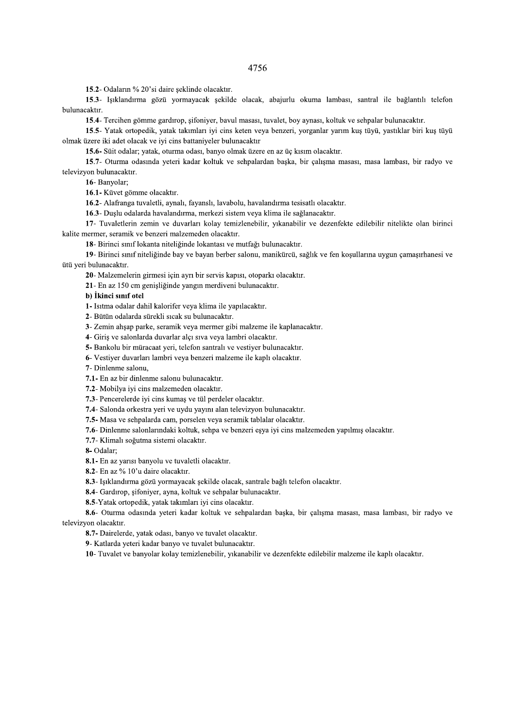15.2- Odaların % 20'si daire şeklinde olacaktır.

15.3- Işıklandırma gözü yormayacak şekilde olacak, abajurlu okuma lambası, santral ile bağlantılı telefon bulunacaktır.

15.4- Tercihen gömme gardırop, şifoniyer, bavul masası, tuvalet, boy aynası, koltuk ve sehpalar bulunacaktır.

15.5- Yatak ortopedik, yatak takımları iyi cins keten veya benzeri, yorganlar yarım kuş tüyü, yastıklar biri kuş tüyü olmak üzere iki adet olacak ve iyi cins battaniyeler bulunacaktır

15.6- Süit odalar; yatak, oturma odası, banyo olmak üzere en az üç kısım olacaktır.

15.7- Oturma odasında yeteri kadar koltuk ve sehpalardan başka, bir çalışma masası, masa lambası, bir radyo ve televizyon bulunacaktır.

16- Banyolar;

16.1- Küvet gömme olacaktır.

16.2- Alafranga tuvaletli, aynalı, fayanslı, lavabolu, havalandırma tesisatlı olacaktır.

16.3- Duşlu odalarda havalandırma, merkezi sistem veya klima ile sağlanacaktır.

17- Tuvaletlerin zemin ve duvarları kolay temizlenebilir, yıkanabilir ve dezenfekte edilebilir nitelikte olan birinci kalite mermer, seramik ve benzeri malzemeden olacaktır.

18- Birinci sınıf lokanta niteliğinde lokantası ve mutfağı bulunacaktır.

19- Birinci sınıf niteliğinde bay ve bayan berber salonu, manikürcü, sağlık ve fen koşullarına uygun çamaşırhanesi ve ütü yeri bulunacaktır.

20- Malzemelerin girmesi için ayrı bir servis kapısı, otoparkı olacaktır.

21- En az 150 cm genişliğinde yangın merdiveni bulunacaktır.

### b) İkinci sınıf otel

1- Isitma odalar dahil kalorifer veya klima ile yapılacaktır.

2- Bütün odalarda sürekli sıcak su bulunacaktır.

3- Zemin ahşap parke, seramik veya mermer gibi malzeme ile kaplanacaktır.

4- Giriş ve salonlarda duvarlar alçı sıva veya lambri olacaktır.

5- Bankolu bir müracaat veri, telefon santralı ve vestiver bulunacaktır.

6- Vestiyer duvarları lambri veya benzeri malzeme ile kaplı olacaktır.

7- Dinlenme salonu,

7.1- En az bir dinlenme salonu bulunacaktır.

7.2- Mobilva ivi cins malzemeden olacaktır.

7.3- Pencerelerde iyi cins kumaş ve tül perdeler olacaktır.

7.4- Salonda orkestra yeri ve uydu yayını alan televizyon bulunacaktır.

7.5- Masa ve sehpalarda cam, porselen veya seramik tablalar olacaktır.

7.6- Dinlenme salonlarındaki koltuk, sehpa ve benzeri eşya iyi cins malzemeden yapılmış olacaktır.

7.7- Klimalı soğutma sistemi olacaktır.

8-Odalar:

8.1- En az yarısı banyolu ve tuvaletli olacaktır.

8.2- En az % 10'u daire olacaktır.

8.3- Işıklandırma gözü yormayacak şekilde olacak, santrale bağlı telefon olacaktır.

8.4- Gardirop, şifoniyer, ayna, koltuk ve sehpalar bulunacaktır.

8.5-Yatak ortopedik, yatak takımları iyi cins olacaktır.

8.6- Oturma odasında yeteri kadar koltuk ve sehpalardan başka, bir çalışma masası, masa lambası, bir radyo ve televizyon olacaktır.

8.7- Dairelerde, yatak odası, banyo ve tuvalet olacaktır.

9- Katlarda yeteri kadar banyo ve tuvalet bulunacaktır.

10- Tuvalet ve banyolar kolay temizlenebilir, yıkanabilir ve dezenfekte edilebilir malzeme ile kaplı olacaktır.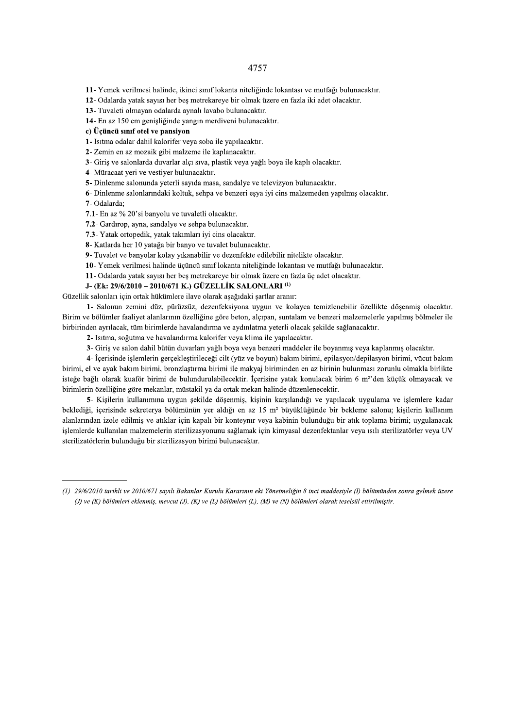11- Yemek verilmesi halinde, ikinci sınıf lokanta niteliğinde lokantası ve mutfağı bulunacaktır.

12- Odalarda yatak sayısı her beş metrekareye bir olmak üzere en fazla iki adet olacaktır.

13- Tuvaleti olmayan odalarda aynalı lavabo bulunacaktır.

14- En az 150 cm genişliğinde yangın merdiveni bulunacaktır.

# c) Üçüncü sınıf otel ve pansiyon

1- Isitma odalar dahil kalorifer veya soba ile yapılacaktır.

2- Zemin en az mozaik gibi malzeme ile kaplanacaktır.

3- Giriş ve salonlarda duvarlar alçı sıva, plastik veya yağlı boya ile kaplı olacaktır.

4- Müracaat yeri ve vestiyer bulunacaktır.

5- Dinlenme salonunda yeterli sayıda masa, sandalye ve televizyon bulunacaktır.

6- Dinlenme salonlarındaki koltuk, sehpa ve benzeri eşya iyi cins malzemeden yapılmış olacaktır.

7- Odalarda;

7.1- En az % 20'si banyolu ve tuvaletli olacaktır.

7.2- Gardirop, ayna, sandalye ve sehpa bulunacaktır.

7.3- Yatak ortopedik, yatak takımları iyi cins olacaktır.

8- Katlarda her 10 yatağa bir banyo ve tuvalet bulunacaktır.

9- Tuvalet ve banyolar kolay yıkanabilir ve dezenfekte edilebilir nitelikte olacaktır.

10- Yemek verilmesi halinde üçüncü sınıf lokanta niteliğinde lokantası ve mutfağı bulunacaktır.

11- Odalarda yatak sayısı her beş metrekareye bir olmak üzere en fazla üç adet olacaktır.

# J- (Ek: 29/6/2010 - 2010/671 K.) GÜZELLİK SALONLARI<sup>(1)</sup>

Güzellik salonları için ortak hükümlere ilave olarak asağıdaki sartlar aranır:

1- Salonun zemini düz, pürüzsüz, dezenfeksiyona uygun ve kolayca temizlenebilir özellikte döşenmiş olacaktır. Birim ve bölümler faaliyet alanlarının özelliğine göre beton, alçıpan, suntalam ve benzeri malzemelerle yapılmış bölmeler ile birbirinden ayrılacak, tüm birimlerde havalandırma ve aydınlatma yeterli olacak sekilde sağlanacaktır.

2- Isitma, soğutma ve havalandırma kalorifer veya klima ile yapılacaktır.

3- Giriş ve salon dahil bütün duvarları yağlı boya veya benzeri maddeler ile boyanmış veya kaplanmış olacaktır.

4- İçerisinde işlemlerin gerçekleştirileceği cilt (yüz ve boyun) bakım birimi, epilasyon/depilasyon birimi, vücut bakım birimi, el ve ayak bakım birimi, bronzlaştırma birimi ile makyaj biriminden en az birinin bulunması zorunlu olmakla birlikte isteğe bağlı olarak kuaför birimi de bulundurulabilecektir. İçerisine yatak konulacak birim 6 m<sup>2</sup>'den küçük olmayacak ve birimlerin özelliğine göre mekanlar, müstakil ya da ortak mekan halinde düzenlenecektir.

5- Kişilerin kullanımına uygun şekilde döşenmiş, kişinin karşılandığı ve yapılacak uygulama ve işlemlere kadar beklediği, içerisinde sekreterya bölümünün yer aldığı en az 15 m<sup>2</sup> büyüklüğünde bir bekleme salonu; kişilerin kullanım alanlarından izole edilmis ve atıklar için kapalı bir konteynır veya kabinin bulunduğu bir atık toplama birimi; uygulanacak işlemlerde kullanılan malzemelerin sterilizasyonunu sağlamak için kimyasal dezenfektanlar veya ısılı sterilizatörler veya UV sterilizatörlerin bulunduğu bir sterilizasyon birimi bulunacaktır.

<sup>(1) 29/6/2010</sup> tarihli ve 2010/671 savılı Bakanlar Kurulu Kararının eki Yönetmeliğin 8 inci maddesiyle (I) bölümünden sonra gelmek üzere (J) ve (K) bölümleri eklenmiş, mevcut (J), (K) ve (L) bölümleri (L), (M) ve (N) bölümleri olarak teselsül ettirilmiştir.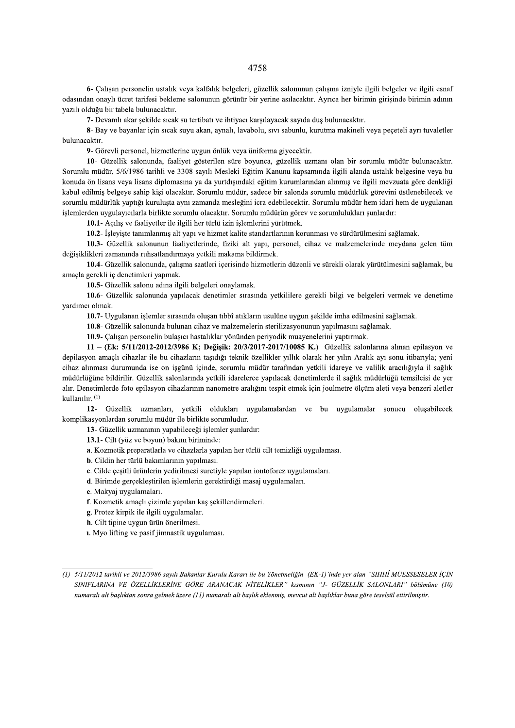6- Çalışan personelin ustalık veya kalfalık belgeleri, güzellik salonunun çalışma izniyle ilgili belgeler ve ilgili esnaf odasından onaylı ücret tarifesi bekleme salonunun görünür bir yerine asılacaktır. Ayrıca her birimin girişinde birimin adının yazılı olduğu bir tabela bulunacaktır.

7- Devamlı akar şekilde sıcak su tertibatı ve ihtiyacı karşılayacak sayıda duş bulunacaktır.

8- Bay ve bayanlar için sıcak suyu akan, aynalı, lavabolu, sıvı sabunlu, kurutma makineli veya peçeteli ayrı tuvaletler bulunacaktır.

9- Görevli personel, hizmetlerine uygun önlük veya üniforma giyecektir.

10- Güzellik salonunda, faaliyet gösterilen süre boyunca, güzellik uzmanı olan bir sorumlu müdür bulunacaktır. Sorumlu müdür, 5/6/1986 tarihli ve 3308 sayılı Mesleki Eğitim Kanunu kapsamında ilgili alanda ustalık belgesine veya bu konuda ön lisans veya lisans diplomasına ya da yurtdışındaki eğitim kurumlarından alınmış ve ilgili mevzuata göre denkliği kabul edilmis belgeve sahip kisi olacaktır. Sorumlu müdür, sadece bir salonda sorumlu müdürlük görevini üstlenebilecek ve sorumlu müdürlük yaptığı kuruluşta aynı zamanda mesleğini icra edebilecektir. Sorumlu müdür hem idari hem de uygulanan işlemlerden uygulayıcılarla birlikte sorumlu olacaktır. Sorumlu müdürün görev ve sorumlulukları şunlardır:

10.1- Açılış ve faaliyetler ile ilgili her türlü izin işlemlerini yürütmek.

10.2- İsleviste tanımlanmıs alt vapı ve hizmet kalite standartlarının korunması ve sürdürülmesini sağlamak.

10.3- Güzellik salonunun faaliyetlerinde, fiziki alt yapı, personel, cihaz ve malzemelerinde meydana gelen tüm değişiklikleri zamanında ruhsatlandırmaya yetkili makama bildirmek.

10.4- Güzellik salonunda, çalışma saatleri içerisinde hizmetlerin düzenli ve sürekli olarak yürütülmesini sağlamak, bu amacla gerekli ic denetimleri vapmak.

10.5- Güzellik salonu adına ilgili belgeleri onaylamak.

10.6- Güzellik salonunda yapılacak denetimler sırasında yetkililere gerekli bilgi ve belgeleri vermek ve denetime vardımcı olmak.

10.7- Uygulanan işlemler sırasında oluşan tıbbî atıkların usulüne uygun şekilde imha edilmesini sağlamak.

10.8- Güzellik salonunda bulunan cihaz ve malzemelerin sterilizasyonunun yapılmasını sağlamak.

10.9- Çalışan personelin bulaşıcı hastalıklar yönünden periyodik muayenelerini yaptırmak.

11 - (Ek: 5/11/2012-2012/3986 K; Değisik: 20/3/2017-2017/10085 K.) Güzellik salonlarına alınan epilasyon ve depilasyon amaclı cihazlar ile bu cihazların tasıdığı teknik özellikler yıllık olarak her yılın Aralık ayı sonu itibarıyla; yeni cihaz alınması durumunda ise on işgünü içinde, sorumlu müdür tarafından yetkili idareye ve valilik aracılığıyla il sağlık müdürlüğüne bildirilir. Güzellik salonlarında yetkili idarelerce yapılacak denetimlerde il sağlık müdürlüğü temsilcisi de yer alır. Denetimlerde foto epilasyon cihazlarının nanometre aralığını tespit etmek için joulmetre ölçüm aleti veya benzeri aletler kullanılır. (1)

12- Güzellik uzmanları, yetkili oldukları uygulamalardan ve bu uygulamalar sonucu oluşabilecek komplikasyonlardan sorumlu müdür ile birlikte sorumludur.

13- Güzellik uzmanının yapabileceği işlemler şunlardır:

13.1- Cilt (yüz ve boyun) bakım biriminde:

a. Kozmetik preparatlarla ve cihazlarla yapılan her türlü cilt temizliği uygulaması.

b. Cildin her türlü bakımlarının yapılması.

- c. Cilde cesitli ürünlerin yedirilmesi suretiyle yapılan iontoforez uygulamaları.
- d. Birimde gerçekleştirilen işlemlerin gerektirdiği masaj uygulamaları.
- e. Makyaj uygulamaları.
- f. Kozmetik amaçlı çizimle yapılan kaş şekillendirmeleri.
- g. Protez kirpik ile ilgili uygulamalar.
- h. Cilt tipine uygun ürün önerilmesi.
- 1. Myo lifting ve pasif jimnastik uygulaması.

<sup>(1) 5/11/2012</sup> tarihli ve 2012/3986 sayılı Bakanlar Kurulu Kararı ile bu Yönetmeliğin (EK-1)'inde yer alan "SIHHÎ MÜESSESELER İÇİN SINIFLARINA VE ÖZELLİKLERİNE GÖRE ARANACAK NİTELİKLER" kısmının "J- GÜZELLİK SALONLARI" bölümüne (10) numaralı alt başlıktan sonra gelmek üzere (11) numaralı alt başlık eklenmiş, mevcut alt başlıklar buna göre teselsül ettirilmiştir.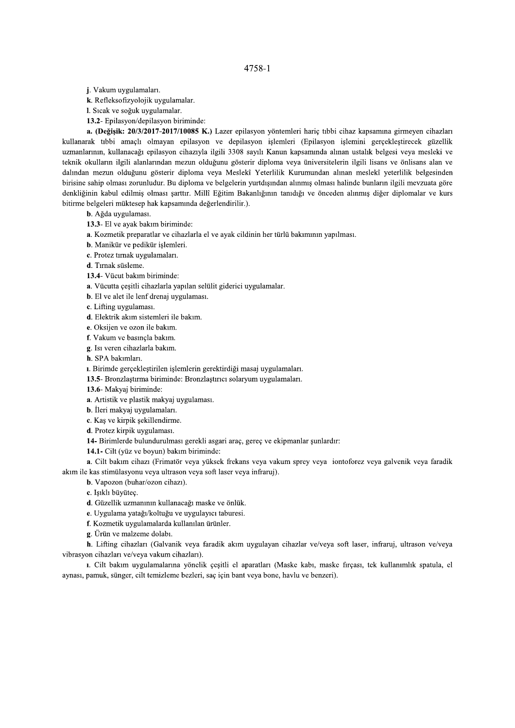j. Vakum uygulamaları.

k. Refleksofizyolojik uygulamalar.

I. Sıcak ve soğuk uygulamalar.

13.2- Epilasyon/depilasyon biriminde:

a. (Değisik: 20/3/2017-2017/10085 K.) Lazer epilasyon yöntemleri haric tıbbi cihaz kapsamına girmeyen cihazları kullanarak tıbbi amaçlı olmayan epilasyon ve depilasyon işlemleri (Epilasyon işlemini gerçekleştirecek güzellik uzmanlarının, kullanacağı epilasyon cihazıyla ilgili 3308 sayılı Kanun kapsamında alınan ustalık belgesi veya mesleki ve teknik okulların ilgili alanlarından mezun olduğunu gösterir diploma veya üniversitelerin ilgili lisans ve önlisans alan ve dalından mezun olduğunu gösterir diploma veya Meslekî Yeterlilik Kurumundan alınan meslekî yeterlilik belgesinden birisine sahip olması zorunludur. Bu diploma ve belgelerin yurtdışından alınmış olması halinde bunların ilgili mevzuata göre denkliğinin kabul edilmiş olması şarttır. Millî Eğitim Bakanlığının tanıdığı ve önceden alınmış diğer diplomalar ve kurs bitirme belgeleri müktesep hak kapsamında değerlendirilir.).

b. Ağda uygulaması.

13.3- El ve avak bakım biriminde:

a. Kozmetik preparatlar ve cihazlarla el ve ayak cildinin her türlü bakımının yapılması.

b. Manikür ve pedikür islemleri.

c. Protez tırnak uygulamaları.

d. Tırnak süsleme.

13.4- Vücut bakım biriminde:

a. Vücutta çeşitli cihazlarla yapılan selülit giderici uygulamalar.

**b**. El ve alet ile lenf drenaj uygulaması.

c. Lifting uygulaması.

d. Elektrik akım sistemleri ile bakım.

e. Oksijen ve ozon ile bakım.

f. Vakum ve basıncla bakım.

g. Isi veren cihazlarla bakım.

h. SPA bakımları.

ı. Birimde gerçekleştirilen işlemlerin gerektirdiği masaj uygulamaları.

13.5- Bronzlastırma biriminde: Bronzlastırıcı solaryum uygulamaları.

13.6- Makyaj biriminde:

a. Artistik ve plastik makyaj uygulaması.

**b**. İleri makyaj uygulamaları.

c. Kas ve kirpik sekillendirme.

d. Protez kirpik uygulaması.

14- Birimlerde bulundurulması gerekli asgari arac, gerec ve ekipmanlar sunlardır:

14.1- Cilt (yüz ve boyun) bakım biriminde:

a. Cilt bakım cihazı (Frimatör veya yüksek frekans veya vakum sprey veya iontoforez veya galvenik veya faradik akım ile kas stimülasyonu veya ultrason veya soft laser veya infraruj).

b. Vapozon (buhar/ozon cihazı).

c. Işıklı büyüteç.

d. Güzellik uzmanının kullanacağı maske ve önlük.

e. Uygulama yatağı/koltuğu ve uygulayıcı taburesi.

f. Kozmetik uygulamalarda kullanılan ürünler.

g. Ürün ve malzeme dolabı.

h. Lifting cihazları (Galvanik veya faradik akım uygulayan cihazlar ve/veya soft laser, infraruj, ultrason ve/veya vibrasyon cihazları ve/veya vakum cihazları).

1. Cilt bakım uygulamalarına yönelik çeşitli el aparatları (Maske kabı, maske firçası, tek kullanımlık spatula, el aynası, pamuk, sünger, cilt temizleme bezleri, sac için bant veya bone, haylu ve benzeri).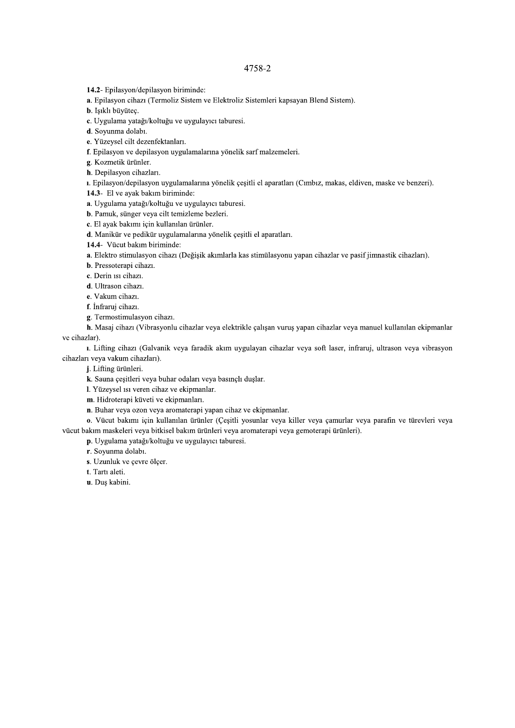14.2- Epilasyon/depilasyon biriminde:

a. Epilasyon cihazı (Termoliz Sistem ve Elektroliz Sistemleri kapsayan Blend Sistem).

**b**. Isikli büvütec.

c. Uygulama yatağı/koltuğu ve uygulayıcı taburesi.

d. Sovunma dolabı.

e. Yüzeysel cilt dezenfektanları.

f. Epilasyon ve depilasyon uygulamalarına yönelik sarf malzemeleri.

g. Kozmetik ürünler.

h. Depilasyon cihazları.

ı. Epilasyon/depilasyon uygulamalarına yönelik çeşitli el aparatları (Cımbız, makas, eldiven, maske ve benzeri).

14.3- El ve ayak bakım biriminde:

a. Uygulama yatağı/koltuğu ve uygulayıcı taburesi.

b. Pamuk, sünger veya cilt temizleme bezleri.

c. El ayak bakımı için kullanılan ürünler.

d. Manikür ve pedikür uygulamalarına yönelik çeşitli el aparatları.

14.4- Vücut bakım biriminde:

a. Elektro stimulasyon cihazı (Değişik akımlarla kas stimülasyonu yapan cihazlar ve pasif jimnastik cihazları).

b. Pressoterapi cihazı.

c. Derin 1si cihazi.

d. Ultrason cihazı.

e. Vakum cihazı.

f. İnfraruj cihazı.

g. Termostimulasyon cihazı.

h. Masaj cihazı (Vibrasyonlu cihazlar veya elektrikle çalışan vuruş yapan cihazlar veya manuel kullanılan ekipmanlar ve cihazlar).

1. Lifting cihazı (Galvanik veya faradik akım uygulayan cihazlar veya soft laser, infraruj, ultrason veya vibrasyon cihazları veya vakum cihazları).

j. Lifting ürünleri.

k. Sauna çeşitleri veya buhar odaları veya basınçlı duşlar.

I. Yüzeysel ısı veren cihaz ve ekipmanlar.

m. Hidroterapi küveti ve ekipmanları.

n. Buhar veya ozon veya aromaterapi yapan cihaz ve ekipmanlar.

o. Vücut bakımı için kullanılan ürünler (Çeşitli yosunlar veya killer veya çamurlar veya parafin ve türevleri veya vücut bakım maskeleri veya bitkisel bakım ürünleri veya aromaterapi veya gemoterapi ürünleri).

p. Uygulama yatağı/koltuğu ve uygulayıcı taburesi.

r. Soyunma dolabı.

s. Uzunluk ve çevre ölçer.

t. Tartı aleti.

u. Duş kabini.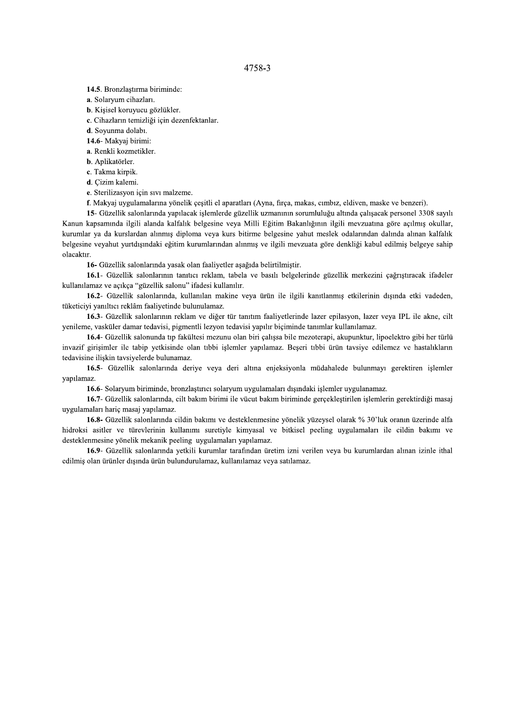14.5. Bronzlaștirma biriminde:

a. Solaryum cihazları.

b. Kişisel koruyucu gözlükler.

c. Cihazların temizliği için dezenfektanlar.

d. Sovunma dolabı.

14.6- Makyaj birimi:

a. Renkli kozmetikler.

b. Aplikatörler.

c. Takma kirpik.

d. Çizim kalemi.

e. Sterilizasyon için sıvı malzeme.

f. Makyaj uygulamalarına yönelik çeşitli el aparatları (Ayna, firça, makas, cımbız, eldiven, maske ve benzeri).

15- Güzellik salonlarında yapılacak işlemlerde güzellik uzmanının sorumluluğu altında çalışacak personel 3308 sayılı Kanun kapsamında ilgili alanda kalfalık belgesine veya Milli Eğitim Bakanlığının ilgili mevzuatına göre açılmış okullar, kurumlar ya da kurslardan alınmış diploma veya kurs bitirme belgesine yahut meslek odalarından dalında alınan kalfalık belgesine veyahut yurtdışındaki eğitim kurumlarından alınmış ve ilgili mevzuata göre denkliği kabul edilmiş belgeye sahip olacaktır.

16- Güzellik salonlarında yasak olan faaliyetler asağıda belirtilmiştir.

16.1- Güzellik salonlarının tanıtıcı reklam, tabela ve basılı belgelerinde güzellik merkezini cağrıstıracak ifadeler kullanılamaz ve açıkça "güzellik salonu" ifadesi kullanılır.

16.2- Güzellik salonlarında, kullanılan makine veya ürün ile ilgili kanıtlanmış etkilerinin dışında etki vadeden, tüketiciyi yanıltıcı reklâm faaliyetinde bulunulamaz.

16.3- Güzellik salonlarının reklam ve diğer tür tanıtım faaliyetlerinde lazer epilasyon, lazer veya IPL ile akne, cilt yenileme, vasküler damar tedavisi, pigmentli lezyon tedavisi yapılır biçiminde tanımlar kullanılamaz.

16.4- Güzellik salonunda tıp fakültesi mezunu olan biri çalışsa bile mezoterapi, akupunktur, lipoelektro gibi her türlü invazif girişimler ile tabip yetkisinde olan tıbbi işlemler yapılamaz. Beşeri tıbbi ürün tavsiye edilemez ve hastalıkların tedavisine ilişkin tavsiyelerde bulunamaz.

16.5- Güzellik salonlarında deriye veya deri altına enjeksiyonla müdahalede bulunmayı gerektiren işlemler yapılamaz.

16.6- Solaryum biriminde, bronzlaştırıcı solaryum uygulamaları dışındaki işlemler uygulanamaz.

16.7- Güzellik salonlarında, cilt bakım birimi ile vücut bakım biriminde gerçekleştirilen işlemlerin gerektirdiği masaj uygulamaları hariç masaj yapılamaz.

16.8- Güzellik salonlarında cildin bakımı ve desteklenmesine yönelik yüzeysel olarak % 30'luk oranın üzerinde alfa hidroksi asitler ve türevlerinin kullanımı suretiyle kimyasal ve bitkisel peeling uygulamaları ile cildin bakımı ve desteklenmesine yönelik mekanik peeling uygulamaları yapılamaz.

16.9- Güzellik salonlarında yetkili kurumlar tarafından üretim izni verilen veya bu kurumlardan alınan izinle ithal edilmiş olan ürünler dışında ürün bulundurulamaz, kullanılamaz veya satılamaz.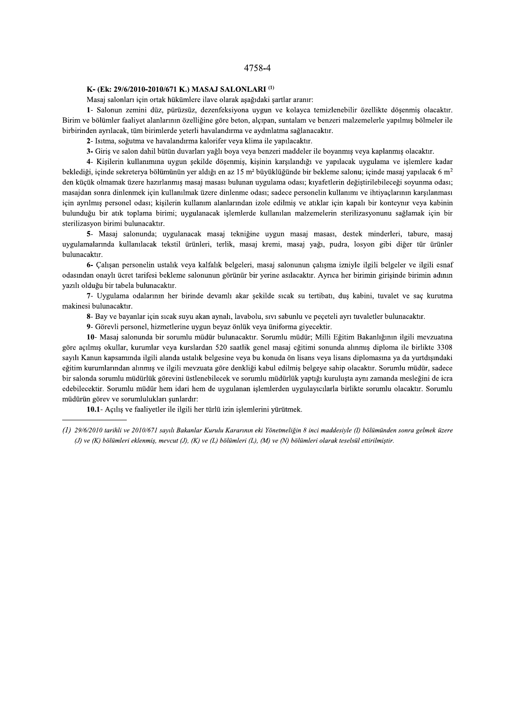# K- (Ek: 29/6/2010-2010/671 K.) MASAJ SALONLARI<sup>(1)</sup>

Masaj salonları için ortak hükümlere ilave olarak aşağıdaki şartlar aranır:

1- Salonun zemini düz, pürüzsüz, dezenfeksiyona uygun ve kolayca temizlenebilir özellikte döşenmiş olacaktır. Birim ve bölümler faaliyet alanlarının özelliğine göre beton, alçıpan, suntalam ve benzeri malzemelerle yapılmış bölmeler ile birbirinden ayrılacak, tüm birimlerde yeterli havalandırma ve aydınlatma sağlanacaktır.

2- Isitma, soğutma ve havalandırma kalorifer veya klima ile yapılacaktır.

3- Giris ve salon dahil bütün duvarları yağlı boya veya benzeri maddeler ile boyanmış veya kaplanmış olacaktır.

4- Kişilerin kullanımına uygun şekilde döşenmiş, kişinin karşılandığı ve yapılacak uygulama ve işlemlere kadar beklediği, içinde sekreterya bölümünün yer aldığı en az 15 m<sup>2</sup> büyüklüğünde bir bekleme salonu; içinde masaj yapılacak 6 m<sup>2</sup> den küçük olmamak üzere hazırlanmış masaj masası bulunan uygulama odası; kıyafetlerin değiştirilebileceği soyunma odası; masajdan sonra dinlenmek için kullanılmak üzere dinlenme odası; sadece personelin kullanımı ve ihtiyaçlarının karşılanması için ayrılmış personel odası; kişilerin kullanım alanlarından izole edilmiş ve atıklar için kapalı bir konteynır veya kabinin bulunduğu bir atık toplama birimi; uygulanacak işlemlerde kullanılan malzemelerin sterilizasyonunu sağlamak için bir sterilizasyon birimi bulunacaktır.

5- Masaj salonunda; uygulanacak masaj tekniğine uygun masaj masası, destek minderleri, tabure, masaj uygulamalarında kullanılacak tekstil ürünleri, terlik, masaj kremi, masaj yağı, pudra, losyon gibi diğer tür ürünler bulunacaktır.

6- Calısan personelin ustalık veya kalfalık belgeleri, masaj salonunun çalısma izniyle ilgili belgeler ve ilgili esnaf odasından onaylı ücret tarifesi bekleme salonunun görünür bir yerine asılacaktır. Ayrıca her birimin girişinde birimin adının yazılı olduğu bir tabela bulunacaktır.

7- Uygulama odalarının her birinde devamlı akar şekilde sıcak su tertibatı, duş kabini, tuvalet ve saç kurutma makinesi bulunacaktır.

8- Bay ve bayanlar için sıcak suyu akan aynalı, lavabolu, sıvı sabunlu ve peçeteli ayrı tuvaletler bulunacaktır.

9- Görevli personel, hizmetlerine uygun beyaz önlük veya üniforma giyecektir.

10- Masaj salonunda bir sorumlu müdür bulunacaktır. Sorumlu müdür; Milli Eğitim Bakanlığının ilgili mevzuatına göre acılmış okullar, kurumlar yeva kurslardan 520 saatlik genel masai eğitimi sonunda alınmış diploma ile birlikte 3308 sayılı Kanun kapsamında ilgili alanda ustalık belgesine veya bu konuda ön lisans veya lisans diplomasına ya da yurtdışındaki eğitim kurumlarından alınmış ve ilgili mevzuata göre denkliği kabul edilmiş belgeye sahip olacaktır. Sorumlu müdür, sadece bir salonda sorumlu müdürlük görevini üstlenebilecek ve sorumlu müdürlük yaptığı kuruluşta aynı zamanda mesleğini de icra edebilecektir. Sorumlu müdür hem idari hem de uygulanan işlemlerden uygulayıcılarla birlikte sorumlu olacaktır. Sorumlu müdürün görev ve sorumlulukları şunlardır:

10.1- Açılış ve faaliyetler ile ilgili her türlü izin işlemlerini yürütmek.

<sup>(1) 29/6/2010</sup> tarihli ve 2010/671 sayılı Bakanlar Kurulu Kararının eki Yönetmeliğin 8 inci maddesiyle (1) bölümünden sonra gelmek üzere (J) ve (K) bölümleri eklenmiş, mevcut (J), (K) ve (L) bölümleri (L), (M) ve (N) bölümleri olarak teselsül ettirilmiştir.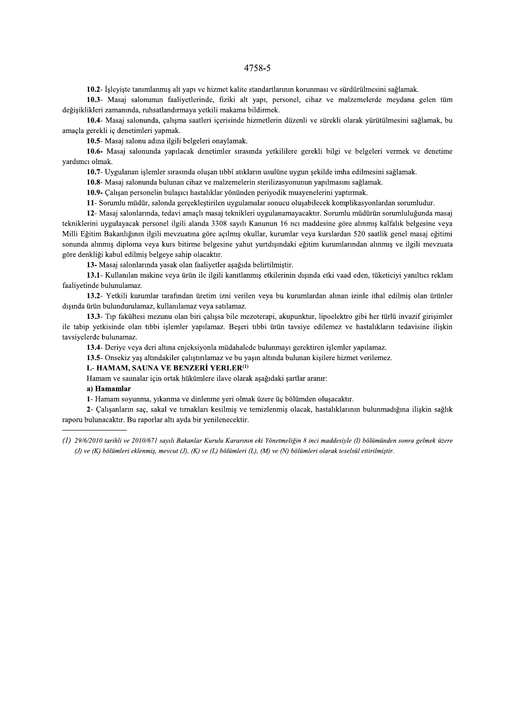10.2- İşleyişte tanımlanmış alt yapı ve hizmet kalite standartlarının korunması ve sürdürülmesini sağlamak.

10.3- Masaj salonunun faaliyetlerinde, fiziki alt yapı, personel, cihaz ve malzemelerde meydana gelen tüm değişiklikleri zamanında, ruhsatlandırmaya yetkili makama bildirmek.

10.4- Masaj salonunda, çalışma saatleri içerisinde hizmetlerin düzenli ve sürekli olarak yürütülmesini sağlamak, bu amacla gerekli iç denetimleri yapmak.

10.5- Masaj salonu adına ilgili belgeleri onaylamak.

10.6- Masaj salonunda yapılacak denetimler sırasında yetkililere gerekli bilgi ve belgeleri vermek ve denetime yardımcı olmak.

10.7- Uygulanan işlemler sırasında oluşan tıbbî atıkların usulüne uygun şekilde imha edilmesini sağlamak.

10.8- Masaj salonunda bulunan cihaz ve malzemelerin sterilizasyonunun yapılmasını sağlamak.

10.9- Çalışan personelin bulaşıcı hastalıklar yönünden periyodik muayenelerini yaptırmak.

11- Sorumlu müdür, salonda gerçekleştirilen uygulamalar sonucu oluşabilecek komplikasyonlardan sorumludur.

12- Masaj salonlarında, tedavi amaçlı masaj teknikleri uygulanamayacaktır. Sorumlu müdürün sorumluluğunda masaj tekniklerini uygulayacak personel ilgili alanda 3308 sayılı Kanunun 16 ncı maddesine göre alınmış kalfalık belgesine veya Milli Eğitim Bakanlığının ilgili mevzuatına göre açılmış okullar, kurumlar veya kurslardan 520 saatlik genel masaj eğitimi sonunda alınmış diploma veya kurs bitirme belgesine yahut yurtdışındaki eğitim kurumlarından alınmış ve ilgili mevzuata göre denkliği kabul edilmiş belgeye sahip olacaktır.

13- Masaj salonlarında yasak olan faaliyetler aşağıda belirtilmiştir.

13.1- Kullanılan makine veya ürün ile ilgili kanıtlanmış etkilerinin dışında etki vaad eden, tüketiciyi yanıltıcı reklam faaliyetinde bulunulamaz.

13.2- Yetkili kurumlar tarafından üretim izni verilen veya bu kurumlardan alınan izinle ithal edilmiş olan ürünler dışında ürün bulundurulamaz, kullanılamaz veya satılamaz.

13.3- Tıp fakültesi mezunu olan biri çalışsa bile mezoterapi, akupunktur, lipoelektro gibi her türlü invazif girişimler ile tabip yetkisinde olan tıbbi işlemler yapılamaz. Beşeri tıbbi ürün tavsiye edilemez ve hastalıkların tedavisine ilişkin tavsiyelerde bulunamaz.

13.4- Derive veva deri altına enjeksiyonla müdahalede bulunmayı gerektiren islemler yapılamaz.

13.5- Onsekiz yaş altındakiler çalıştırılamaz ve bu yaşın altında bulunan kişilere hizmet verilemez.

## L-HAMAM, SAUNA VE BENZERİ YERLER<sup>(1)</sup>

Hamam ve saunalar için ortak hükümlere ilave olarak aşağıdaki şartlar aranır:

a) Hamamlar

1- Hamam soyunma, yıkanma ve dinlenme yeri olmak üzere üç bölümden oluşacaktır.

2- Çalışanların saç, sakal ve tırnakları kesilmiş ve temizlenmiş olacak, hastalıklarının bulunmadığına ilişkin sağlık raporu bulunacaktır. Bu raporlar altı ayda bir yenilenecektir.

(1) 29/6/2010 tarihli ve 2010/671 sayılı Bakanlar Kurulu Kararının eki Yönetmeliğin 8 inci maddesiyle (I) bölümünden sonra gelmek üzere (J) ve (K) bölümleri eklenmiş, meycut (J), (K) ve (L) bölümleri (L), (M) ve (N) bölümleri olarak teselsül ettirilmiştir.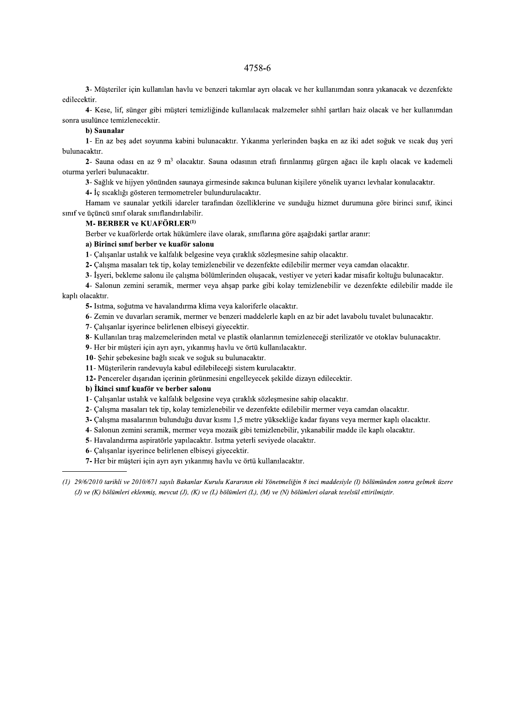3- Müşteriler için kullanılan havlu ve benzeri takımlar ayrı olacak ve her kullanımdan sonra yıkanacak ve dezenfekte edilecektir.

4- Kese, lif, sünger gibi müşteri temizliğinde kullanılacak malzemeler sıhhî şartları haiz olacak ve her kullanımdan sonra usulünce temizlenecektir.

### b) Saunalar

1- En az bes adet sovunma kabini bulunacaktır. Yıkanma yerlerinden baska en az iki adet soğuk ve sıcak dus yeri bulunacaktır.

2- Sauna odası en az 9 m<sup>3</sup> olacaktır. Sauna odasının etrafi firinlanmış gürgen ağacı ile kaplı olacak ve kademeli oturma yerleri bulunacaktır.

3- Sağlık ve hijyen yönünden saunaya girmesinde sakınca bulunan kişilere yönelik uyarıcı levhalar konulacaktır.

4- İç sıcaklığı gösteren termometreler bulundurulacaktır.

Hamam ve saunalar yetkili idareler tarafından özelliklerine ve sunduğu hizmet durumuna göre birinci sınıf, ikinci sınıf ve üçüncü sınıf olarak sınıflandırılabilir.

### M- BERBER ve KUAFÖRLER<sup>(1)</sup>

Berber ve kuaförlerde ortak hükümlere ilave olarak, sınıflarına göre aşağıdaki şartlar aranır:

## a) Birinci sınıf berber ve kuaför salonu

1- Çalışanlar ustalık ve kalfalık belgesine veya çıraklık sözleşmesine sahip olacaktır.

2- Calisma masaları tek tip, kolay temizlenebilir ve dezenfekte edilebilir mermer veya camdan olacaktır.

3- İşyeri, bekleme salonu ile çalışma bölümlerinden oluşacak, vestiyer ve yeteri kadar misafir koltuğu bulunacaktır.

4- Salonun zemini seramik, mermer veya ahşap parke gibi kolay temizlenebilir ve dezenfekte edilebilir madde ile kaplı olacaktır.

5- Isitma, soğutma ve havalandırma klima veya kaloriferle olacaktır.

6- Zemin ve duvarları seramik, mermer ve benzeri maddelerle kaplı en az bir adet lavabolu tuvalet bulunacaktır.

7- Çalışanlar işyerince belirlenen elbiseyi giyecektir.

8- Kullanılan tıraş malzemelerinden metal ve plastik olanlarının temizleneceği sterilizatör ve otoklav bulunacaktır.

9- Her bir müşteri için ayrı ayrı, yıkanmış havlu ve örtü kullanılacaktır.

10- Şehir şebekesine bağlı sıcak ve soğuk su bulunacaktır.

11- Müşterilerin randevuyla kabul edilebileceği sistem kurulacaktır.

12- Pencereler dışarıdan içerinin görünmesini engelleyecek şekilde dizayn edilecektir.

### b) İkinci sınıf kuaför ve berber salonu

1- Çalışanlar ustalık ve kalfalık belgesine veya çıraklık sözleşmesine sahip olacaktır.

2- Çalışma masaları tek tip, kolay temizlenebilir ve dezenfekte edilebilir mermer veya camdan olacaktır.

- 3- Çalışma masalarının bulunduğu duvar kısmı 1,5 metre yüksekliğe kadar fayans veya mermer kaplı olacaktır.
- 4- Salonun zemini seramik, mermer veya mozaik gibi temizlenebilir, yıkanabilir madde ile kaplı olacaktır.

5- Havalandırma aspiratörle yapılacaktır. Isıtma yeterli seviyede olacaktır.

6- Calısanlar isyerince belirlenen elbiseyi giyecektir.

7- Her bir müsteri için ayrı ayrı yıkanmış havlu ve örtü kullanılacaktır.

<sup>(1) 29/6/2010</sup> tarihli ve 2010/671 sayılı Bakanlar Kurulu Kararının eki Yönetmeliğin 8 inci maddesiyle (1) bölümünden sonra gelmek üzere (J) ve (K) bölümleri eklenmiş, mevcut (J), (K) ve (L) bölümleri (L), (M) ve (N) bölümleri olarak teselsül ettirilmiştir.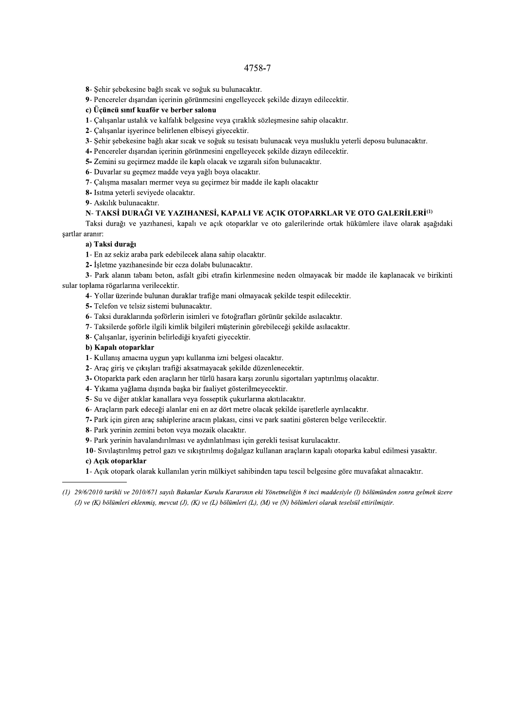- 8- Şehir şebekesine bağlı sıcak ve soğuk su bulunacaktır.
- 9- Pencereler dışarıdan içerinin görünmesini engelleyecek şekilde dizayn edilecektir.
- c) Üçüncü sınıf kuaför ve berber salonu
- 1- Çalışanlar ustalık ve kalfalık belgesine veya çıraklık sözleşmesine sahip olacaktır.
- 2- Calisanlar isverince belirlenen elbisevi givecektir.
- 3- Sehir sebekesine bağlı akar sıcak ve soğuk su tesisatı bulunacak veva musluklu yeterli deposu bulunacaktır.
- 4- Pencereler dışarıdan içerinin görünmesini engelleyecek şekilde dizayn edilecektir.
- 5- Zemini su geçirmez madde ile kaplı olacak ve ızgaralı sifon bulunacaktır.
- 6- Duvarlar su geçmez madde veya yağlı boya olacaktır.
- 7- Çalışma masaları mermer veya su geçirmez bir madde ile kaplı olacaktır
- 8- Isitma yeterli seviyede olacaktır.
- 9- Askılık bulunacaktır.

# N-TAKSİ DURAĞI VE YAZIHANESİ, KAPALI VE AÇIK OTOPARKLAR VE OTO GALERİLERİ<sup>(1)</sup>

Taksi durağı ve yazıhanesi, kapalı ve açık otoparklar ve oto galerilerinde ortak hükümlere ilave olarak aşağıdaki sartlar aranır:

### a) Taksi durağı

- 1- En az sekiz araba park edebilecek alana sahip olacaktır.
- 2- İsletme yazıhanesinde bir ecza dolabı bulunacaktır.

3- Park alanın tabanı beton, asfalt gibi etrafın kirlenmesine neden olmayacak bir madde ile kaplanacak ve birikinti sular toplama rögarlarına verilecektir.

- 4- Yollar üzerinde bulunan duraklar trafiğe mani olmayacak şekilde tespit edilecektir.
- 5- Telefon ve telsiz sistemi bulunacaktır.
- 6- Taksi duraklarında şoförlerin isimleri ve fotoğrafları görünür şekilde asılacaktır.
- 7- Taksilerde şoförle ilgili kimlik bilgileri müşterinin görebileceği şekilde asılacaktır.
- 8- Çalışanlar, işyerinin belirlediği kıyafeti giyecektir.

### b) Kapalı otoparklar

- 1- Kullanış amacına uygun yapı kullanma izni belgesi olacaktır.
- 2- Araç giriş ve çıkışları trafiği aksatmayacak şekilde düzenlenecektir.
- 3- Otoparkta park eden araçların her türlü hasara karşı zorunlu sigortaları yaptırılmış olacaktır.
- 4- Yıkama vağlama dışında başka bir faaliyet gösterilmeyecektir.
- 5- Su ve diğer atıklar kanallara veya fosseptik çukurlarına akıtılacaktır.
- 6- Araçların park edeceği alanlar eni en az dört metre olacak şekilde işaretlerle ayrılacaktır.
- 7- Park için giren araç sahiplerine aracın plakası, cinsi ve park saatini gösteren belge verilecektir.
- 8- Park yerinin zemini beton veya mozaik olacaktır.
- 9- Park yerinin havalandırılması ve aydınlatılması için gerekli tesisat kurulacaktır.

10- Sivilastirilmis petrol gazi ve sikistirilmis doğalgaz kullanan araçların kapalı otoparka kabul edilmesi yasaktır.

## c) Acık otoparklar

1- Açık otopark olarak kullanılan yerin mülkiyet sahibinden tapu tescil belgesine göre muvafakat alınacaktır.

<sup>(1) 29/6/2010</sup> tarihli ve 2010/671 sayılı Bakanlar Kurulu Kararının eki Yönetmeliğin 8 inci maddesiyle (I) bölümünden sonra gelmek üzere (J) ve (K) bölümleri eklenmiş, mevcut (J), (K) ve (L) bölümleri (L), (M) ve (N) bölümleri olarak teselsül ettirilmiştir.